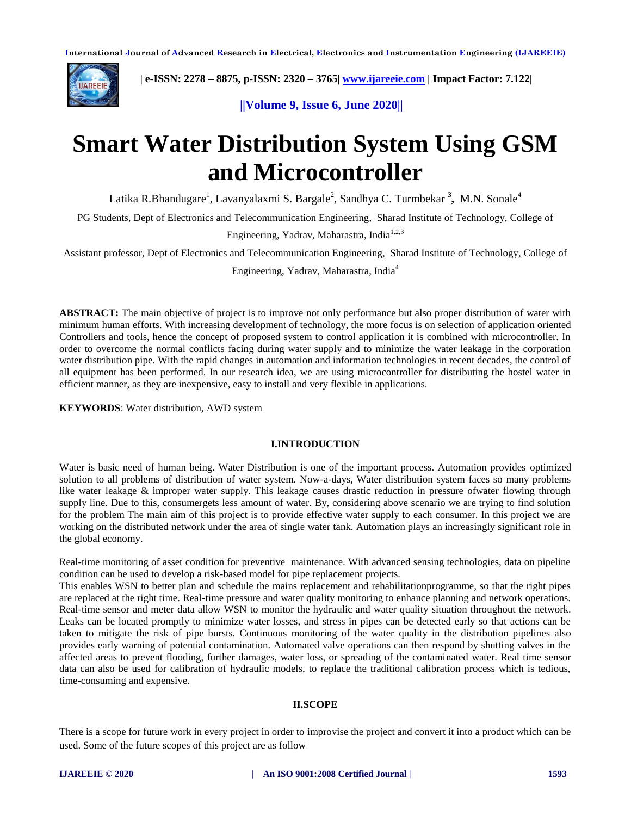

 **| e-ISSN: 2278 – 8875, p-ISSN: 2320 – 3765| [www.ijareeie.com](http://www.ijareeie.com/) | Impact Factor: 7.122|** 

 **||Volume 9, Issue 6, June 2020||** 

# **Smart Water Distribution System Using GSM and Microcontroller**

Latika R.Bhandugare<sup>1</sup>, Lavanyalaxmi S. Bargale<sup>2</sup>, Sandhya C. Turmbekar <sup>3</sup>, M.N. Sonale<sup>4</sup>

PG Students, Dept of Electronics and Telecommunication Engineering, Sharad Institute of Technology, College of

Engineering, Yadrav, Maharastra, India<sup>1,2,3</sup>

Assistant professor, Dept of Electronics and Telecommunication Engineering, Sharad Institute of Technology, College of

Engineering, Yadrav, Maharastra, India<sup>4</sup>

**ABSTRACT:** The main objective of project is to improve not only performance but also proper distribution of water with minimum human efforts. With increasing development of technology, the more focus is on selection of application oriented Controllers and tools, hence the concept of proposed system to control application it is combined with microcontroller. In order to overcome the normal conflicts facing during water supply and to minimize the water leakage in the corporation water distribution pipe. With the rapid changes in automation and information technologies in recent decades, the control of all equipment has been performed. In our research idea, we are using microcontroller for distributing the hostel water in efficient manner, as they are inexpensive, easy to install and very flexible in applications.

**KEYWORDS**: Water distribution, AWD system

#### **I.INTRODUCTION**

Water is basic need of human being. Water Distribution is one of the important process. Automation provides optimized solution to all problems of distribution of water system. Now-a-days, Water distribution system faces so many problems like water leakage & improper water supply. This leakage causes drastic reduction in pressure ofwater flowing through supply line. Due to this, consumergets less amount of water. By, considering above scenario we are trying to find solution for the problem The main aim of this project is to provide effective water supply to each consumer. In this project we are working on the distributed network under the area of single water tank. Automation plays an increasingly significant role in the global economy.

Real-time monitoring of asset condition for preventive maintenance. With advanced sensing technologies, data on pipeline condition can be used to develop a risk-based model for pipe replacement projects.

This enables WSN to better plan and schedule the mains replacement and rehabilitationprogramme, so that the right pipes are replaced at the right time. Real-time pressure and water quality monitoring to enhance planning and network operations. Real-time sensor and meter data allow WSN to monitor the hydraulic and water quality situation throughout the network. Leaks can be located promptly to minimize water losses, and stress in pipes can be detected early so that actions can be taken to mitigate the risk of pipe bursts. Continuous monitoring of the water quality in the distribution pipelines also provides early warning of potential contamination. Automated valve operations can then respond by shutting valves in the affected areas to prevent flooding, further damages, water loss, or spreading of the contaminated water. Real time sensor data can also be used for calibration of hydraulic models, to replace the traditional calibration process which is tedious, time-consuming and expensive.

#### **II.SCOPE**

There is a scope for future work in every project in order to improvise the project and convert it into a product which can be used. Some of the future scopes of this project are as follow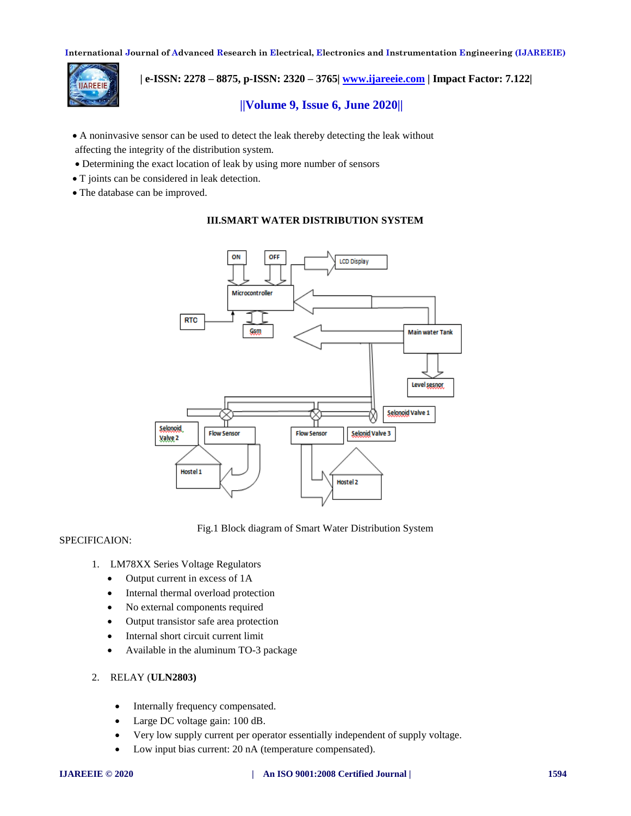

 **| e-ISSN: 2278 – 8875, p-ISSN: 2320 – 3765| [www.ijareeie.com](http://www.ijareeie.com/) | Impact Factor: 7.122|** 

# **||Volume 9, Issue 6, June 2020||**

- A noninvasive sensor can be used to detect the leak thereby detecting the leak without affecting the integrity of the distribution system.
- Determining the exact location of leak by using more number of sensors
- T joints can be considered in leak detection.
- The database can be improved.

# **III.SMART WATER DISTRIBUTION SYSTEM**



Fig.1 Block diagram of Smart Water Distribution System

# SPECIFICAION:

- 1. LM78XX Series Voltage Regulators
	- Output current in excess of 1A
	- Internal thermal overload protection
	- No external components required
	- Output transistor safe area protection
	- Internal short circuit current limit
	- Available in the aluminum TO-3 package

#### 2. RELAY (**ULN2803)**

- Internally frequency compensated.
- Large DC voltage gain: 100 dB.
- Very low supply current per operator essentially independent of supply voltage.
- Low input bias current: 20 nA (temperature compensated).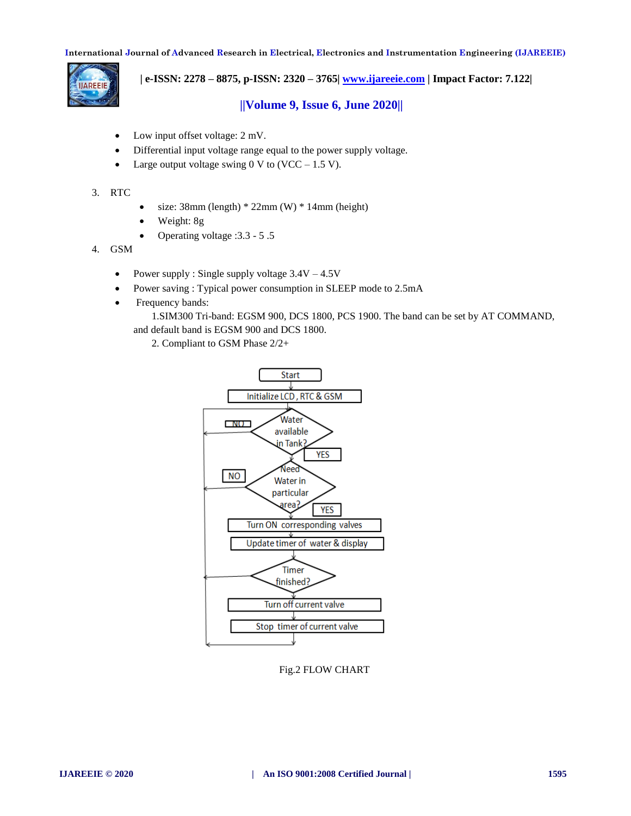

 **| e-ISSN: 2278 – 8875, p-ISSN: 2320 – 3765| [www.ijareeie.com](http://www.ijareeie.com/) | Impact Factor: 7.122|** 

 **||Volume 9, Issue 6, June 2020||** 

- Low input offset voltage: 2 mV.
- Differential input voltage range equal to the power supply voltage.
- Large output voltage swing 0 V to  $(VCC 1.5 V)$ .
- 3. RTC
- size:  $38mm$  (length)  $* 22mm$  (W)  $* 14mm$  (height)
- Weight: 8g
- Operating voltage :3.3 5 .5
- 4. GSM
	- Power supply : Single supply voltage  $3.4V 4.5V$
	- Power saving : Typical power consumption in SLEEP mode to 2.5mA
	- Frequency bands:

 1.SIM300 Tri-band: EGSM 900, DCS 1800, PCS 1900. The band can be set by AT COMMAND, and default band is EGSM 900 and DCS 1800.

2. Compliant to GSM Phase 2/2+



Fig.2 FLOW CHART